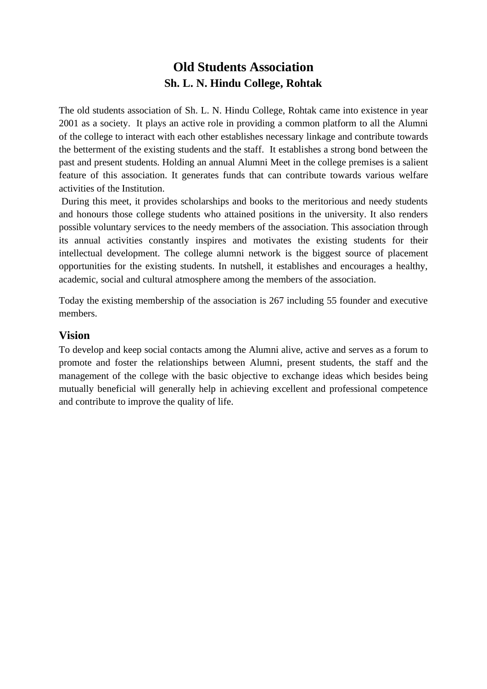# **Old Students Association Sh. L. N. Hindu College, Rohtak**

The old students association of Sh. L. N. Hindu College, Rohtak came into existence in year 2001 as a society. It plays an active role in providing a common platform to all the Alumni of the college to interact with each other establishes necessary linkage and contribute towards the betterment of the existing students and the staff. It establishes a strong bond between the past and present students. Holding an annual Alumni Meet in the college premises is a salient feature of this association. It generates funds that can contribute towards various welfare activities of the Institution.

During this meet, it provides scholarships and books to the meritorious and needy students and honours those college students who attained positions in the university. It also renders possible voluntary services to the needy members of the association. This association through its annual activities constantly inspires and motivates the existing students for their intellectual development. The college alumni network is the biggest source of placement opportunities for the existing students. In nutshell, it establishes and encourages a healthy, academic, social and cultural atmosphere among the members of the association.

Today the existing membership of the association is 267 including 55 founder and executive members.

#### **Vision**

To develop and keep social contacts among the Alumni alive, active and serves as a forum to promote and foster the relationships between Alumni, present students, the staff and the management of the college with the basic objective to exchange ideas which besides being mutually beneficial will generally help in achieving excellent and professional competence and contribute to improve the quality of life.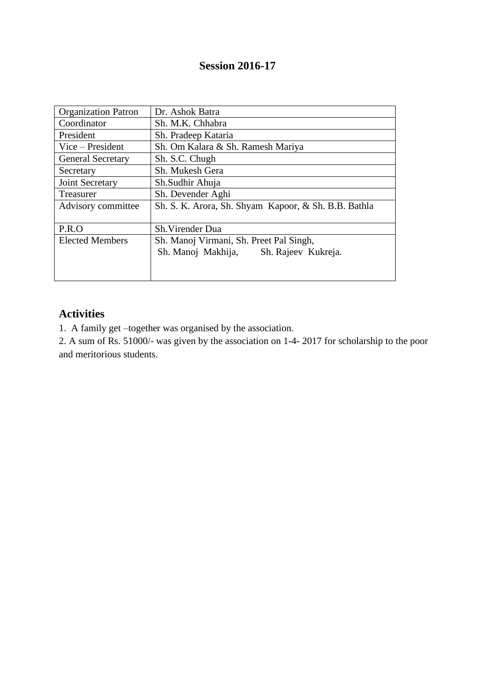### **Session 2016-17**

| <b>Organization Patron</b> | Dr. Ashok Batra                                      |  |  |  |
|----------------------------|------------------------------------------------------|--|--|--|
| Coordinator                | Sh. M.K. Chhabra                                     |  |  |  |
| President                  | Sh. Pradeep Kataria                                  |  |  |  |
| Vice – President           | Sh. Om Kalara & Sh. Ramesh Mariya                    |  |  |  |
| <b>General Secretary</b>   | Sh. S.C. Chugh                                       |  |  |  |
| Secretary                  | Sh. Mukesh Gera                                      |  |  |  |
| Joint Secretary            | Sh.Sudhir Ahuja                                      |  |  |  |
| Treasurer                  | Sh. Devender Aghi                                    |  |  |  |
| Advisory committee         | Sh. S. K. Arora, Sh. Shyam Kapoor, & Sh. B.B. Bathla |  |  |  |
|                            |                                                      |  |  |  |
| P.R.O                      | Sh. Virender Dua                                     |  |  |  |
| <b>Elected Members</b>     | Sh. Manoj Virmani, Sh. Preet Pal Singh,              |  |  |  |
|                            | Sh. Manoj Makhija,<br>Sh. Rajeev Kukreja.            |  |  |  |
|                            |                                                      |  |  |  |
|                            |                                                      |  |  |  |

## **Activities**

1. A family get –together was organised by the association.

2. A sum of Rs. 51000/- was given by the association on 1-4- 2017 for scholarship to the poor and meritorious students.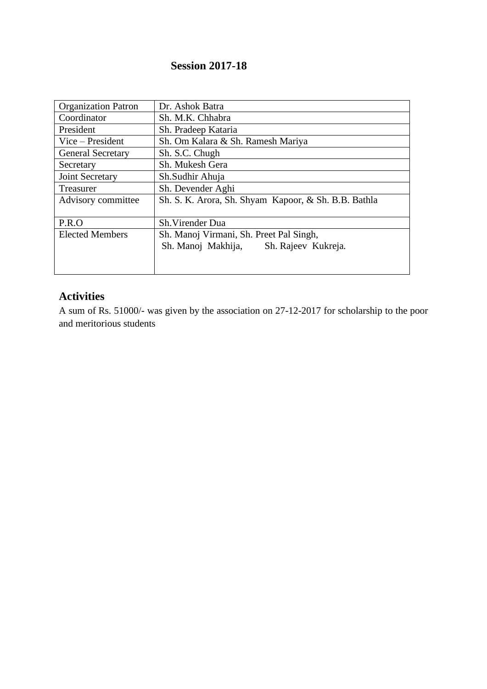## **Session 2017-18**

| <b>Organization Patron</b> | Dr. Ashok Batra                                                                      |  |  |
|----------------------------|--------------------------------------------------------------------------------------|--|--|
| Coordinator                | Sh. M.K. Chhabra                                                                     |  |  |
| President                  | Sh. Pradeep Kataria                                                                  |  |  |
| Vice – President           | Sh. Om Kalara & Sh. Ramesh Mariya                                                    |  |  |
| <b>General Secretary</b>   | Sh. S.C. Chugh                                                                       |  |  |
| Secretary                  | Sh. Mukesh Gera                                                                      |  |  |
| Joint Secretary            | Sh.Sudhir Ahuja                                                                      |  |  |
| Treasurer                  | Sh. Devender Aghi                                                                    |  |  |
| Advisory committee         | Sh. S. K. Arora, Sh. Shyam Kapoor, & Sh. B.B. Bathla                                 |  |  |
| P.R.O                      | Sh. Virender Dua                                                                     |  |  |
| <b>Elected Members</b>     | Sh. Manoj Virmani, Sh. Preet Pal Singh,<br>Sh. Manoj Makhija,<br>Sh. Rajeev Kukreja. |  |  |

## **Activities**

A sum of Rs. 51000/- was given by the association on 27-12-2017 for scholarship to the poor and meritorious students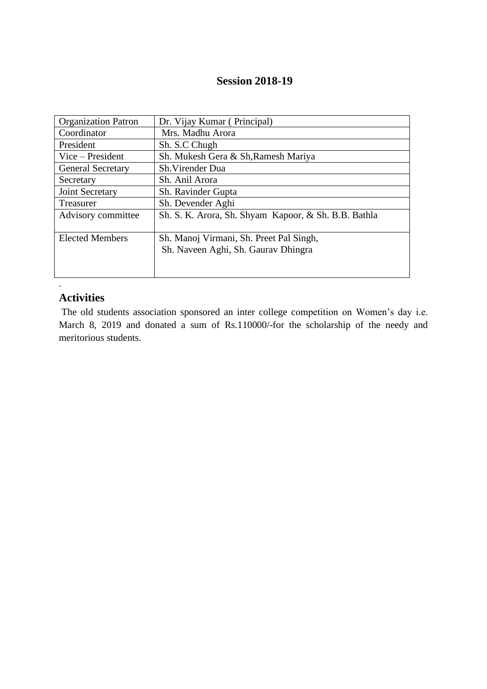### **Session 2018-19**

| <b>Organization Patron</b> | Dr. Vijay Kumar (Principal)                          |  |
|----------------------------|------------------------------------------------------|--|
| Coordinator                | Mrs. Madhu Arora                                     |  |
| President                  | Sh. S.C Chugh                                        |  |
| $Vice - President$         | Sh. Mukesh Gera & Sh, Ramesh Mariya                  |  |
| <b>General Secretary</b>   | Sh. Virender Dua                                     |  |
| Secretary                  | Sh. Anil Arora                                       |  |
| Joint Secretary            | Sh. Ravinder Gupta                                   |  |
| Treasurer                  | Sh. Devender Aghi                                    |  |
| Advisory committee         | Sh. S. K. Arora, Sh. Shyam Kapoor, & Sh. B.B. Bathla |  |
| <b>Elected Members</b>     | Sh. Manoj Virmani, Sh. Preet Pal Singh,              |  |
|                            | Sh. Naveen Aghi, Sh. Gaurav Dhingra                  |  |
|                            |                                                      |  |
|                            |                                                      |  |

### **Activities**

.

The old students association sponsored an inter college competition on Women's day i.e. March 8, 2019 and donated a sum of Rs.110000/-for the scholarship of the needy and meritorious students.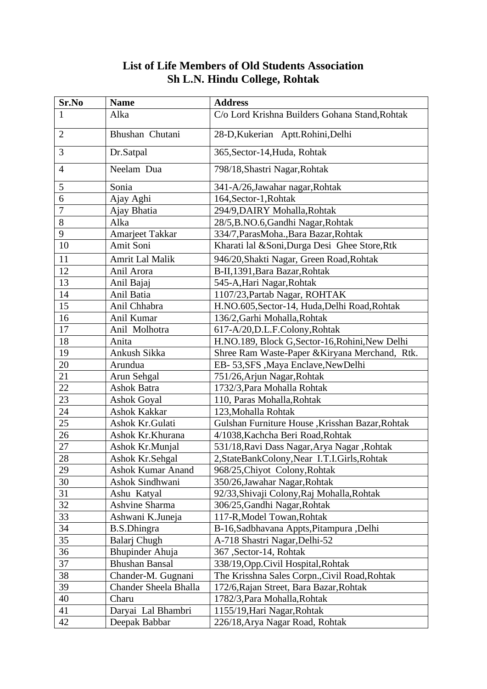# **List of Life Members of Old Students Association Sh L.N. Hindu College, Rohtak**

| Sr.No          | <b>Name</b>              | <b>Address</b>                                  |  |
|----------------|--------------------------|-------------------------------------------------|--|
| 1              | Alka                     | C/o Lord Krishna Builders Gohana Stand, Rohtak  |  |
| $\overline{2}$ | Bhushan Chutani          | 28-D, Kukerian Aptt. Rohini, Delhi              |  |
| 3              | Dr.Satpal                | 365, Sector-14, Huda, Rohtak                    |  |
| 4              | Neelam Dua               | 798/18, Shastri Nagar, Rohtak                   |  |
| 5              | Sonia                    | 341-A/26, Jawahar nagar, Rohtak                 |  |
| 6              | Ajay Aghi                | 164, Sector-1, Rohtak                           |  |
| 7              | Ajay Bhatia              | 294/9, DAIRY Mohalla, Rohtak                    |  |
| 8              | Alka                     | 28/5, B.NO.6, Gandhi Nagar, Rohtak              |  |
| 9              | Amarjeet Takkar          | 334/7, ParasMoha., Bara Bazar, Rohtak           |  |
| 10             | Amit Soni                | Kharati lal &Soni, Durga Desi Ghee Store, Rtk   |  |
| 11             | <b>Amrit Lal Malik</b>   | 946/20, Shakti Nagar, Green Road, Rohtak        |  |
| 12             | Anil Arora               | B-II,1391, Bara Bazar, Rohtak                   |  |
| 13             | Anil Bajaj               | 545-A, Hari Nagar, Rohtak                       |  |
| 14             | Anil Batia               | 1107/23, Partab Nagar, ROHTAK                   |  |
| 15             | Anil Chhabra             | H.NO.605, Sector-14, Huda, Delhi Road, Rohtak   |  |
| 16             | Anil Kumar               | 136/2, Garhi Mohalla, Rohtak                    |  |
| 17             | Anil Molhotra            | 617-A/20, D.L.F. Colony, Rohtak                 |  |
| 18             | Anita                    | H.NO.189, Block G, Sector-16, Rohini, New Delhi |  |
| 19             | Ankush Sikka             | Shree Ram Waste-Paper & Kiryana Merchand, Rtk.  |  |
| 20             | Arundua                  | EB-53, SFS, Maya Enclave, New Delhi             |  |
| 21             | Arun Sehgal              | 751/26, Arjun Nagar, Rohtak                     |  |
| 22             | <b>Ashok Batra</b>       | 1732/3, Para Mohalla Rohtak                     |  |
| 23             | <b>Ashok Goyal</b>       | 110, Paras Mohalla, Rohtak                      |  |
| 24             | <b>Ashok Kakkar</b>      | 123, Mohalla Rohtak                             |  |
| 25             | Ashok Kr.Gulati          | Gulshan Furniture House, Krisshan Bazar, Rohtak |  |
| 26             | Ashok Kr.Khurana         | 4/1038, Kachcha Beri Road, Rohtak               |  |
| 27             | Ashok Kr.Munjal          | 531/18, Ravi Dass Nagar, Arya Nagar, Rohtak     |  |
| 28             | Ashok Kr.Sehgal          | 2, StateBankColony, Near I.T.I. Girls, Rohtak   |  |
| 29             | <b>Ashok Kumar Anand</b> | 968/25, Chiyot Colony, Rohtak                   |  |
| 30             | Ashok Sindhwani          | 350/26, Jawahar Nagar, Rohtak                   |  |
| 31             | Ashu Katyal              | 92/33, Shivaji Colony, Raj Mohalla, Rohtak      |  |
| 32             | Ashvine Sharma           | 306/25, Gandhi Nagar, Rohtak                    |  |
| 33             | Ashwani K.Juneja         | 117-R, Model Towan, Rohtak                      |  |
| 34             | <b>B.S.Dhingra</b>       | B-16, Sadbhavana Appts, Pitampura, Delhi        |  |
| 35             | Balarj Chugh             | A-718 Shastri Nagar, Delhi-52                   |  |
| 36             | Bhupinder Ahuja          | 367, Sector-14, Rohtak                          |  |
| 37             | <b>Bhushan Bansal</b>    | 338/19, Opp. Civil Hospital, Rohtak             |  |
| 38             | Chander-M. Gugnani       | The Krisshna Sales Corpn., Civil Road, Rohtak   |  |
| 39             | Chander Sheela Bhalla    | 172/6, Rajan Street, Bara Bazar, Rohtak         |  |
| 40             | Charu                    | 1782/3, Para Mohalla, Rohtak                    |  |
| 41             | Daryai Lal Bhambri       | 1155/19, Hari Nagar, Rohtak                     |  |
| 42             | Deepak Babbar            | 226/18, Arya Nagar Road, Rohtak                 |  |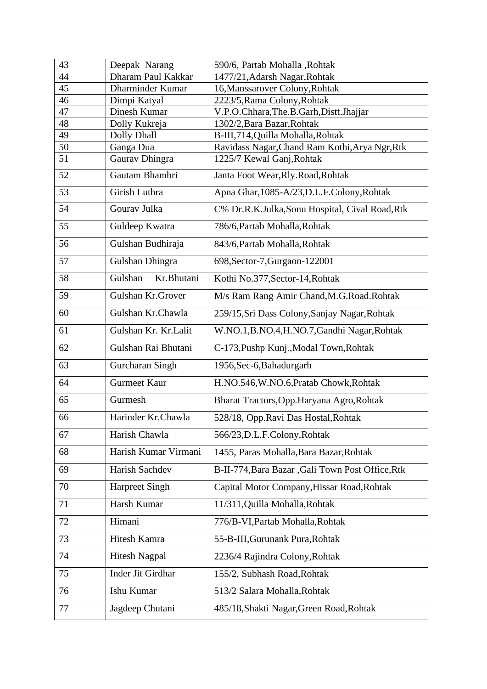| 43 | Deepak Narang         | 590/6, Partab Mohalla , Rohtak                    |  |
|----|-----------------------|---------------------------------------------------|--|
| 44 | Dharam Paul Kakkar    | 1477/21, Adarsh Nagar, Rohtak                     |  |
| 45 | Dharminder Kumar      | 16, Manssarover Colony, Rohtak                    |  |
| 46 | Dimpi Katyal          | 2223/5, Rama Colony, Rohtak                       |  |
| 47 | Dinesh Kumar          | V.P.O.Chhara, The.B.Garh, Distt.Jhajjar           |  |
| 48 | Dolly Kukreja         | 1302/2, Bara Bazar, Rohtak                        |  |
| 49 | Dolly Dhall           | B-III,714, Quilla Mohalla, Rohtak                 |  |
| 50 | Ganga Dua             | Ravidass Nagar, Chand Ram Kothi, Arya Ngr, Rtk    |  |
| 51 | Gaurav Dhingra        | 1225/7 Kewal Ganj, Rohtak                         |  |
| 52 | Gautam Bhambri        | Janta Foot Wear, Rly. Road, Rohtak                |  |
| 53 | Girish Luthra         | Apna Ghar, 1085-A/23, D.L.F. Colony, Rohtak       |  |
| 54 | Gourav Julka          | C% Dr.R.K.Julka,Sonu Hospital, Cival Road,Rtk     |  |
| 55 | Guldeep Kwatra        | 786/6, Partab Mohalla, Rohtak                     |  |
| 56 | Gulshan Budhiraja     | 843/6, Partab Mohalla, Rohtak                     |  |
| 57 | Gulshan Dhingra       | 698, Sector-7, Gurgaon-122001                     |  |
| 58 | Gulshan<br>Kr.Bhutani | Kothi No.377, Sector-14, Rohtak                   |  |
| 59 | Gulshan Kr.Grover     | M/s Ram Rang Amir Chand, M.G. Road. Rohtak        |  |
| 60 | Gulshan Kr.Chawla     | 259/15, Sri Dass Colony, Sanjay Nagar, Rohtak     |  |
| 61 | Gulshan Kr. Kr.Lalit  | W.NO.1, B.NO.4, H.NO.7, Gandhi Nagar, Rohtak      |  |
| 62 | Gulshan Rai Bhutani   | C-173, Pushp Kunj., Modal Town, Rohtak            |  |
| 63 | Gurcharan Singh       | 1956, Sec-6, Bahadurgarh                          |  |
| 64 | <b>Gurmeet Kaur</b>   | H.NO.546, W.NO.6, Pratab Chowk, Rohtak            |  |
| 65 | Gurmesh               | Bharat Tractors, Opp. Haryana Agro, Rohtak        |  |
| 66 | Harinder Kr.Chawla    | 528/18, Opp.Ravi Das Hostal, Rohtak               |  |
| 67 | Harish Chawla         | 566/23, D.L.F.Colony, Rohtak                      |  |
| 68 | Harish Kumar Virmani  | 1455, Paras Mohalla, Bara Bazar, Rohtak           |  |
| 69 | Harish Sachdev        | B-II-774, Bara Bazar , Gali Town Post Office, Rtk |  |
| 70 | <b>Harpreet Singh</b> | Capital Motor Company, Hissar Road, Rohtak        |  |
| 71 | Harsh Kumar           | 11/311, Quilla Mohalla, Rohtak                    |  |
| 72 | Himani                | 776/B-VI, Partab Mohalla, Rohtak                  |  |
| 73 | Hitesh Kamra          | 55-B-III, Gurunank Pura, Rohtak                   |  |
| 74 | <b>Hitesh Nagpal</b>  | 2236/4 Rajindra Colony, Rohtak                    |  |
| 75 | Inder Jit Girdhar     | 155/2, Subhash Road, Rohtak                       |  |
| 76 | Ishu Kumar            | 513/2 Salara Mohalla, Rohtak                      |  |
| 77 | Jagdeep Chutani       | 485/18, Shakti Nagar, Green Road, Rohtak          |  |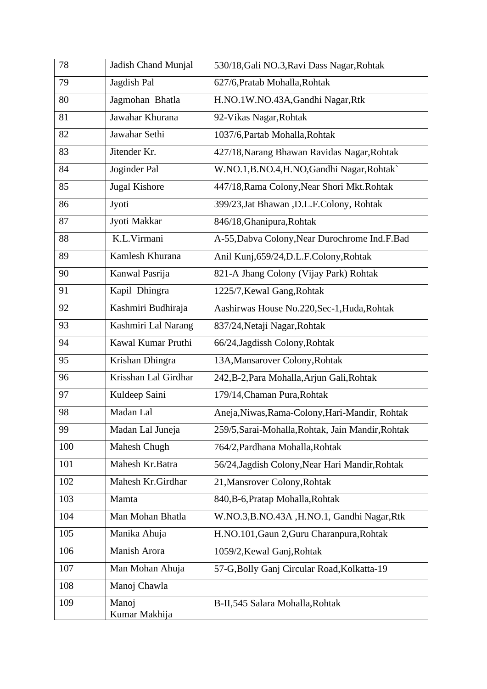| 78  | Jadish Chand Munjal    | 530/18, Gali NO.3, Ravi Dass Nagar, Rohtak        |  |
|-----|------------------------|---------------------------------------------------|--|
| 79  | Jagdish Pal            | 627/6, Pratab Mohalla, Rohtak                     |  |
| 80  | Jagmohan Bhatla        | H.NO.1W.NO.43A, Gandhi Nagar, Rtk                 |  |
| 81  | Jawahar Khurana        | 92-Vikas Nagar, Rohtak                            |  |
| 82  | Jawahar Sethi          | 1037/6, Partab Mohalla, Rohtak                    |  |
| 83  | Jitender Kr.           | 427/18, Narang Bhawan Ravidas Nagar, Rohtak       |  |
| 84  | Joginder Pal           | W.NO.1, B.NO.4, H.NO, Gandhi Nagar, Rohtak`       |  |
| 85  | <b>Jugal Kishore</b>   | 447/18, Rama Colony, Near Shori Mkt. Rohtak       |  |
| 86  | Jyoti                  | 399/23, Jat Bhawan, D.L.F.Colony, Rohtak          |  |
| 87  | Jyoti Makkar           | 846/18, Ghanipura, Rohtak                         |  |
| 88  | K.L.Virmani            | A-55, Dabva Colony, Near Durochrome Ind.F. Bad    |  |
| 89  | Kamlesh Khurana        | Anil Kunj, 659/24, D.L.F. Colony, Rohtak          |  |
| 90  | Kanwal Pasrija         | 821-A Jhang Colony (Vijay Park) Rohtak            |  |
| 91  | Kapil Dhingra          | 1225/7, Kewal Gang, Rohtak                        |  |
| 92  | Kashmiri Budhiraja     | Aashirwas House No.220, Sec-1, Huda, Rohtak       |  |
| 93  | Kashmiri Lal Narang    | 837/24, Netaji Nagar, Rohtak                      |  |
| 94  | Kawal Kumar Pruthi     | 66/24, Jagdissh Colony, Rohtak                    |  |
| 95  | Krishan Dhingra        | 13A, Mansarover Colony, Rohtak                    |  |
| 96  | Krisshan Lal Girdhar   | 242, B-2, Para Mohalla, Arjun Gali, Rohtak        |  |
| 97  | Kuldeep Saini          | 179/14, Chaman Pura, Rohtak                       |  |
| 98  | Madan Lal              | Aneja, Niwas, Rama-Colony, Hari-Mandir, Rohtak    |  |
| 99  | Madan Lal Juneja       | 259/5, Sarai-Mohalla, Rohtak, Jain Mandir, Rohtak |  |
| 100 | Mahesh Chugh           | 764/2, Pardhana Mohalla, Rohtak                   |  |
| 101 | Mahesh Kr.Batra        | 56/24, Jagdish Colony, Near Hari Mandir, Rohtak   |  |
| 102 | Mahesh Kr.Girdhar      | 21, Mansrover Colony, Rohtak                      |  |
| 103 | Mamta                  | 840, B-6, Pratap Mohalla, Rohtak                  |  |
| 104 | Man Mohan Bhatla       | W.NO.3, B.NO.43A, H.NO.1, Gandhi Nagar, Rtk       |  |
| 105 | Manika Ahuja           | H.NO.101, Gaun 2, Guru Charanpura, Rohtak         |  |
| 106 | Manish Arora           | 1059/2, Kewal Ganj, Rohtak                        |  |
| 107 | Man Mohan Ahuja        | 57-G, Bolly Ganj Circular Road, Kolkatta-19       |  |
| 108 | Manoj Chawla           |                                                   |  |
| 109 | Manoj<br>Kumar Makhija | B-II,545 Salara Mohalla, Rohtak                   |  |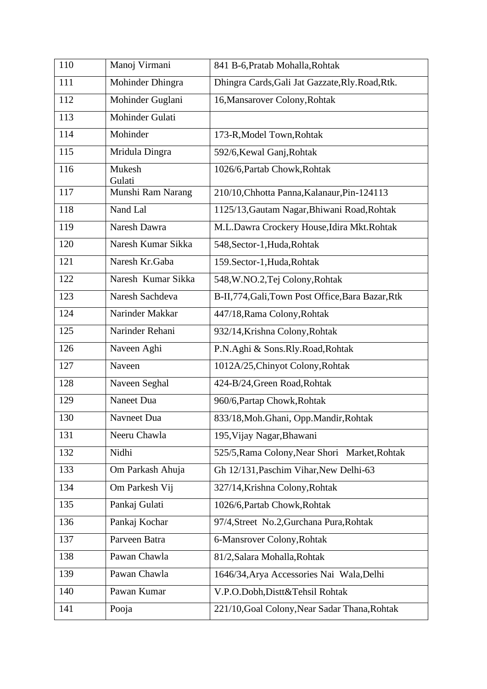| 110 | Manoj Virmani      | 841 B-6, Pratab Mohalla, Rohtak                   |  |
|-----|--------------------|---------------------------------------------------|--|
| 111 | Mohinder Dhingra   | Dhingra Cards, Gali Jat Gazzate, Rly. Road, Rtk.  |  |
| 112 | Mohinder Guglani   | 16, Mansarover Colony, Rohtak                     |  |
| 113 | Mohinder Gulati    |                                                   |  |
| 114 | Mohinder           | 173-R, Model Town, Rohtak                         |  |
| 115 | Mridula Dingra     | 592/6, Kewal Ganj, Rohtak                         |  |
| 116 | Mukesh<br>Gulati   | 1026/6, Partab Chowk, Rohtak                      |  |
| 117 | Munshi Ram Narang  | 210/10, Chhotta Panna, Kalanaur, Pin-124113       |  |
| 118 | Nand Lal           | 1125/13, Gautam Nagar, Bhiwani Road, Rohtak       |  |
| 119 | Naresh Dawra       | M.L.Dawra Crockery House, Idira Mkt.Rohtak        |  |
| 120 | Naresh Kumar Sikka | 548, Sector-1, Huda, Rohtak                       |  |
| 121 | Naresh Kr.Gaba     | 159. Sector-1, Huda, Rohtak                       |  |
| 122 | Naresh Kumar Sikka | 548, W.NO.2, Tej Colony, Rohtak                   |  |
| 123 | Naresh Sachdeva    | B-II,774, Gali, Town Post Office, Bara Bazar, Rtk |  |
| 124 | Narinder Makkar    | 447/18, Rama Colony, Rohtak                       |  |
| 125 | Narinder Rehani    | 932/14, Krishna Colony, Rohtak                    |  |
| 126 | Naveen Aghi        | P.N.Aghi & Sons.Rly.Road,Rohtak                   |  |
| 127 | Naveen             | 1012A/25, Chinyot Colony, Rohtak                  |  |
| 128 | Naveen Seghal      | 424-B/24, Green Road, Rohtak                      |  |
| 129 | Naneet Dua         | 960/6, Partap Chowk, Rohtak                       |  |
| 130 | Navneet Dua        | 833/18, Moh. Ghani, Opp. Mandir, Rohtak           |  |
| 131 | Neeru Chawla       | 195, Vijay Nagar, Bhawani                         |  |
| 132 | Nidhi              | 525/5, Rama Colony, Near Shori Market, Rohtak     |  |
| 133 | Om Parkash Ahuja   | Gh 12/131, Paschim Vihar, New Delhi-63            |  |
| 134 | Om Parkesh Vij     | 327/14, Krishna Colony, Rohtak                    |  |
| 135 | Pankaj Gulati      | 1026/6, Partab Chowk, Rohtak                      |  |
| 136 | Pankaj Kochar      | 97/4, Street No.2, Gurchana Pura, Rohtak          |  |
| 137 | Parveen Batra      | 6-Mansrover Colony, Rohtak                        |  |
| 138 | Pawan Chawla       | 81/2, Salara Mohalla, Rohtak                      |  |
| 139 | Pawan Chawla       | 1646/34, Arya Accessories Nai Wala, Delhi         |  |
| 140 | Pawan Kumar        | V.P.O.Dobh,Distt&Tehsil Rohtak                    |  |
| 141 | Pooja              | 221/10, Goal Colony, Near Sadar Thana, Rohtak     |  |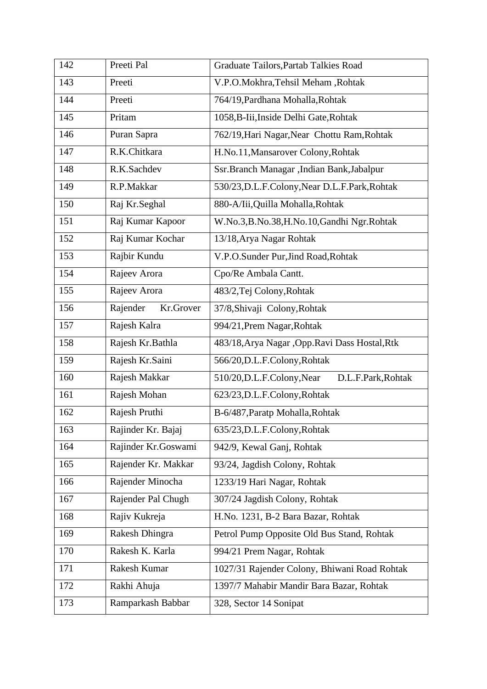| 142 | Preeti Pal                                       | Graduate Tailors, Partab Talkies Road             |  |
|-----|--------------------------------------------------|---------------------------------------------------|--|
| 143 | Preeti                                           | V.P.O.Mokhra, Tehsil Meham, Rohtak                |  |
| 144 | Preeti                                           | 764/19, Pardhana Mohalla, Rohtak                  |  |
| 145 | Pritam<br>1058, B-Iii, Inside Delhi Gate, Rohtak |                                                   |  |
| 146 | Puran Sapra                                      | 762/19, Hari Nagar, Near Chottu Ram, Rohtak       |  |
| 147 | R.K.Chitkara                                     | H.No.11, Mansarover Colony, Rohtak                |  |
| 148 | R.K.Sachdev                                      | Ssr.Branch Managar ,Indian Bank,Jabalpur          |  |
| 149 | R.P.Makkar                                       | 530/23, D.L.F.Colony, Near D.L.F.Park, Rohtak     |  |
| 150 | Raj Kr.Seghal                                    | 880-A/Iii, Quilla Mohalla, Rohtak                 |  |
| 151 | Raj Kumar Kapoor                                 | W.No.3,B.No.38,H.No.10,Gandhi Ngr.Rohtak          |  |
| 152 | Raj Kumar Kochar                                 | 13/18, Arya Nagar Rohtak                          |  |
| 153 | Rajbir Kundu                                     | V.P.O.Sunder Pur, Jind Road, Rohtak               |  |
| 154 | Rajeev Arora                                     | Cpo/Re Ambala Cantt.                              |  |
| 155 | Rajeev Arora                                     | 483/2, Tej Colony, Rohtak                         |  |
| 156 | Rajender<br>Kr.Grover                            | 37/8, Shivaji Colony, Rohtak                      |  |
| 157 | Rajesh Kalra                                     | 994/21, Prem Nagar, Rohtak                        |  |
| 158 | Rajesh Kr.Bathla                                 | 483/18, Arya Nagar , Opp. Ravi Dass Hostal, Rtk   |  |
| 159 | Rajesh Kr.Saini                                  | 566/20, D.L.F.Colony, Rohtak                      |  |
| 160 | Rajesh Makkar                                    | 510/20, D.L.F. Colony, Near<br>D.L.F.Park, Rohtak |  |
| 161 | Rajesh Mohan                                     | 623/23, D.L.F.Colony, Rohtak                      |  |
| 162 | Rajesh Pruthi                                    | B-6/487, Paratp Mohalla, Rohtak                   |  |
| 163 | Rajinder Kr. Bajaj                               | 635/23, D.L.F.Colony, Rohtak                      |  |
| 164 | Rajinder Kr.Goswami                              | 942/9, Kewal Ganj, Rohtak                         |  |
| 165 | Rajender Kr. Makkar                              | 93/24, Jagdish Colony, Rohtak                     |  |
| 166 | Rajender Minocha                                 | 1233/19 Hari Nagar, Rohtak                        |  |
| 167 | Rajender Pal Chugh                               | 307/24 Jagdish Colony, Rohtak                     |  |
| 168 | Rajiv Kukreja                                    | H.No. 1231, B-2 Bara Bazar, Rohtak                |  |
| 169 | Rakesh Dhingra                                   | Petrol Pump Opposite Old Bus Stand, Rohtak        |  |
| 170 | Rakesh K. Karla                                  | 994/21 Prem Nagar, Rohtak                         |  |
| 171 | Rakesh Kumar                                     | 1027/31 Rajender Colony, Bhiwani Road Rohtak      |  |
| 172 | Rakhi Ahuja                                      | 1397/7 Mahabir Mandir Bara Bazar, Rohtak          |  |
| 173 | Ramparkash Babbar                                | 328, Sector 14 Sonipat                            |  |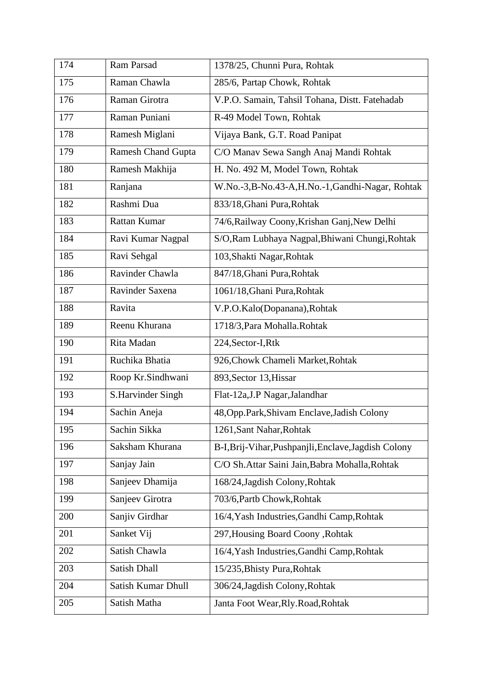| 174 | Ram Parsad                | 1378/25, Chunni Pura, Rohtak                         |  |
|-----|---------------------------|------------------------------------------------------|--|
| 175 | Raman Chawla              | 285/6, Partap Chowk, Rohtak                          |  |
| 176 | Raman Girotra             | V.P.O. Samain, Tahsil Tohana, Distt. Fatehadab       |  |
| 177 | Raman Puniani             | R-49 Model Town, Rohtak                              |  |
| 178 | Ramesh Miglani            | Vijaya Bank, G.T. Road Panipat                       |  |
| 179 | <b>Ramesh Chand Gupta</b> | C/O Manav Sewa Sangh Anaj Mandi Rohtak               |  |
| 180 | Ramesh Makhija            | H. No. 492 M, Model Town, Rohtak                     |  |
| 181 | Ranjana                   | W.No.-3,B-No.43-A,H.No.-1,Gandhi-Nagar, Rohtak       |  |
| 182 | Rashmi Dua                | 833/18, Ghani Pura, Rohtak                           |  |
| 183 | Rattan Kumar              | 74/6, Railway Coony, Krishan Ganj, New Delhi         |  |
| 184 | Ravi Kumar Nagpal         | S/O,Ram Lubhaya Nagpal,Bhiwani Chungi,Rohtak         |  |
| 185 | Ravi Sehgal               | 103, Shakti Nagar, Rohtak                            |  |
| 186 | Ravinder Chawla           | 847/18, Ghani Pura, Rohtak                           |  |
| 187 | Ravinder Saxena           | 1061/18, Ghani Pura, Rohtak                          |  |
| 188 | Ravita                    | V.P.O.Kalo(Dopanana), Rohtak                         |  |
| 189 | Reenu Khurana             | 1718/3, Para Mohalla. Rohtak                         |  |
| 190 | Rita Madan                | 224, Sector-I, Rtk                                   |  |
| 191 | Ruchika Bhatia            | 926, Chowk Chameli Market, Rohtak                    |  |
| 192 | Roop Kr.Sindhwani         | 893, Sector 13, Hissar                               |  |
| 193 | S.Harvinder Singh         | Flat-12a, J.P Nagar, Jalandhar                       |  |
| 194 | Sachin Aneja              | 48, Opp. Park, Shivam Enclave, Jadish Colony         |  |
| 195 | Sachin Sikka              | 1261, Sant Nahar, Rohtak                             |  |
| 196 | Saksham Khurana           | B-I, Brij-Vihar, Pushpanjli, Enclave, Jagdish Colony |  |
| 197 | Sanjay Jain               | C/O Sh.Attar Saini Jain, Babra Mohalla, Rohtak       |  |
| 198 | Sanjeev Dhamija           | 168/24, Jagdish Colony, Rohtak                       |  |
| 199 | Sanjeev Girotra           | 703/6, Partb Chowk, Rohtak                           |  |
| 200 | Sanjiv Girdhar            | 16/4, Yash Industries, Gandhi Camp, Rohtak           |  |
| 201 | Sanket Vij                | 297, Housing Board Coony, Rohtak                     |  |
| 202 | Satish Chawla             | 16/4, Yash Industries, Gandhi Camp, Rohtak           |  |
| 203 | Satish Dhall              | 15/235, Bhisty Pura, Rohtak                          |  |
| 204 | Satish Kumar Dhull        | 306/24, Jagdish Colony, Rohtak                       |  |
| 205 | Satish Matha              | Janta Foot Wear, Rly. Road, Rohtak                   |  |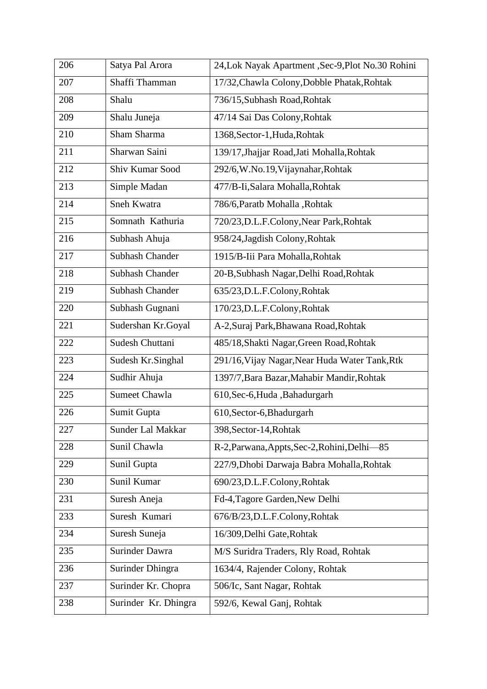| 206 | Satya Pal Arora        | 24, Lok Nayak Apartment, Sec-9, Plot No. 30 Rohini |  |
|-----|------------------------|----------------------------------------------------|--|
| 207 | Shaffi Thamman         | 17/32, Chawla Colony, Dobble Phatak, Rohtak        |  |
| 208 | Shalu                  | 736/15, Subhash Road, Rohtak                       |  |
| 209 | Shalu Juneja           | 47/14 Sai Das Colony, Rohtak                       |  |
| 210 | Sham Sharma            | 1368, Sector-1, Huda, Rohtak                       |  |
| 211 | Sharwan Saini          | 139/17, Jhajjar Road, Jati Mohalla, Rohtak         |  |
| 212 | Shiv Kumar Sood        | 292/6, W.No.19, Vijaynahar, Rohtak                 |  |
| 213 | Simple Madan           | 477/B-Ii, Salara Mohalla, Rohtak                   |  |
| 214 | Sneh Kwatra            | 786/6, Paratb Mohalla, Rohtak                      |  |
| 215 | Somnath Kathuria       | 720/23, D.L.F.Colony, Near Park, Rohtak            |  |
| 216 | Subhash Ahuja          | 958/24, Jagdish Colony, Rohtak                     |  |
| 217 | <b>Subhash Chander</b> | 1915/B-Iii Para Mohalla, Rohtak                    |  |
| 218 | <b>Subhash Chander</b> | 20-B, Subhash Nagar, Delhi Road, Rohtak            |  |
| 219 | <b>Subhash Chander</b> | 635/23, D.L.F.Colony, Rohtak                       |  |
| 220 | Subhash Gugnani        | 170/23, D.L.F.Colony, Rohtak                       |  |
| 221 | Sudershan Kr.Goyal     | A-2, Suraj Park, Bhawana Road, Rohtak              |  |
| 222 | Sudesh Chuttani        | 485/18, Shakti Nagar, Green Road, Rohtak           |  |
| 223 | Sudesh Kr.Singhal      | 291/16, Vijay Nagar, Near Huda Water Tank, Rtk     |  |
| 224 | Sudhir Ahuja           | 1397/7, Bara Bazar, Mahabir Mandir, Rohtak         |  |
| 225 | <b>Sumeet Chawla</b>   | 610, Sec-6, Huda, Bahadurgarh                      |  |
| 226 | Sumit Gupta            | 610, Sector-6, Bhadurgarh                          |  |
| 227 | Sunder Lal Makkar      | 398, Sector-14, Rohtak                             |  |
| 228 | Sunil Chawla           | R-2, Parwana, Appts, Sec-2, Rohini, Delhi-85       |  |
| 229 | Sunil Gupta            | 227/9, Dhobi Darwaja Babra Mohalla, Rohtak         |  |
| 230 | Sunil Kumar            | 690/23, D.L.F.Colony, Rohtak                       |  |
| 231 | Suresh Aneja           | Fd-4, Tagore Garden, New Delhi                     |  |
| 233 | Suresh Kumari          | 676/B/23, D.L.F.Colony, Rohtak                     |  |
| 234 | Suresh Suneja          | 16/309, Delhi Gate, Rohtak                         |  |
| 235 | Surinder Dawra         | M/S Suridra Traders, Rly Road, Rohtak              |  |
| 236 | Surinder Dhingra       | 1634/4, Rajender Colony, Rohtak                    |  |
| 237 | Surinder Kr. Chopra    | 506/Ic, Sant Nagar, Rohtak                         |  |
| 238 | Surinder Kr. Dhingra   | 592/6, Kewal Ganj, Rohtak                          |  |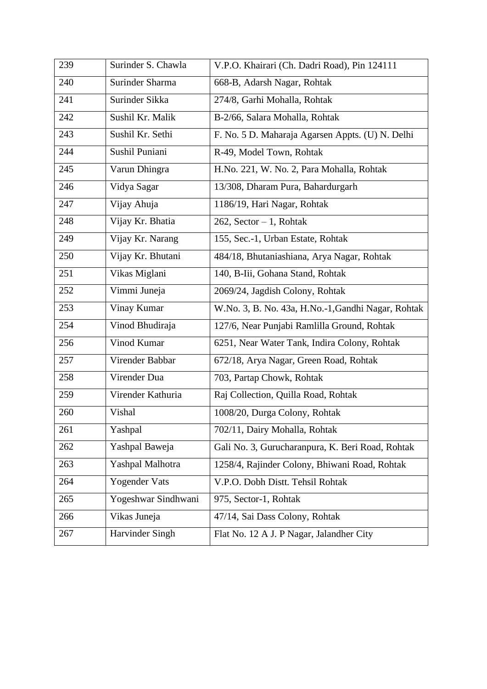| V.P.O. Khairari (Ch. Dadri Road), Pin 124111<br>274/8, Garhi Mohalla, Rohtak<br>B-2/66, Salara Mohalla, Rohtak |  |
|----------------------------------------------------------------------------------------------------------------|--|
|                                                                                                                |  |
|                                                                                                                |  |
|                                                                                                                |  |
|                                                                                                                |  |
| F. No. 5 D. Maharaja Agarsen Appts. (U) N. Delhi                                                               |  |
|                                                                                                                |  |
| H.No. 221, W. No. 2, Para Mohalla, Rohtak                                                                      |  |
| 13/308, Dharam Pura, Bahardurgarh                                                                              |  |
|                                                                                                                |  |
|                                                                                                                |  |
| 155, Sec.-1, Urban Estate, Rohtak                                                                              |  |
| 484/18, Bhutaniashiana, Arya Nagar, Rohtak                                                                     |  |
| 140, B-Iii, Gohana Stand, Rohtak                                                                               |  |
| 2069/24, Jagdish Colony, Rohtak                                                                                |  |
| W.No. 3, B. No. 43a, H.No.-1, Gandhi Nagar, Rohtak                                                             |  |
| 127/6, Near Punjabi Ramlilla Ground, Rohtak                                                                    |  |
| 6251, Near Water Tank, Indira Colony, Rohtak                                                                   |  |
| 672/18, Arya Nagar, Green Road, Rohtak                                                                         |  |
| 703, Partap Chowk, Rohtak                                                                                      |  |
| Raj Collection, Quilla Road, Rohtak                                                                            |  |
| 1008/20, Durga Colony, Rohtak                                                                                  |  |
| 702/11, Dairy Mohalla, Rohtak                                                                                  |  |
| Gali No. 3, Gurucharanpura, K. Beri Road, Rohtak                                                               |  |
| 1258/4, Rajinder Colony, Bhiwani Road, Rohtak                                                                  |  |
| V.P.O. Dobh Distt. Tehsil Rohtak                                                                               |  |
| 975, Sector-1, Rohtak                                                                                          |  |
|                                                                                                                |  |
| 47/14, Sai Dass Colony, Rohtak                                                                                 |  |
|                                                                                                                |  |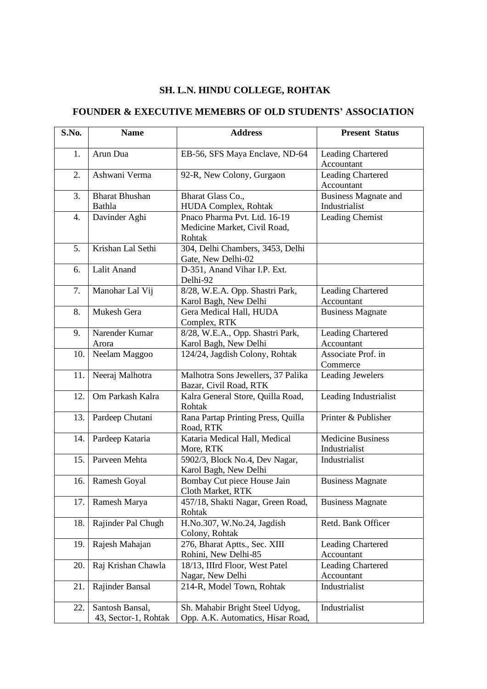# **SH. L.N. HINDU COLLEGE, ROHTAK**

#### **FOUNDER & EXECUTIVE MEMEBRS OF OLD STUDENTS' ASSOCIATION**

| S.No.            | <b>Name</b>                             | <b>Address</b>                                                         | <b>Present Status</b>                        |
|------------------|-----------------------------------------|------------------------------------------------------------------------|----------------------------------------------|
| 1.               | Arun Dua                                | EB-56, SFS Maya Enclave, ND-64                                         | Leading Chartered<br>Accountant              |
| 2.               | Ashwani Verma                           | 92-R, New Colony, Gurgaon                                              | <b>Leading Chartered</b><br>Accountant       |
| 3.               | <b>Bharat Bhushan</b><br>Bathla         | Bharat Glass Co.,<br>HUDA Complex, Rohtak                              | <b>Business Magnate and</b><br>Industrialist |
| $\overline{4}$ . | Davinder Aghi                           | Pnaco Pharma Pvt. Ltd. 16-19<br>Medicine Market, Civil Road,<br>Rohtak | Leading Chemist                              |
| 5.               | Krishan Lal Sethi                       | 304, Delhi Chambers, 3453, Delhi<br>Gate, New Delhi-02                 |                                              |
| 6.               | Lalit Anand                             | D-351, Anand Vihar I.P. Ext.<br>Delhi-92                               |                                              |
| 7.               | Manohar Lal Vij                         | 8/28, W.E.A. Opp. Shastri Park,<br>Karol Bagh, New Delhi               | Leading Chartered<br>Accountant              |
| 8.               | Mukesh Gera                             | Gera Medical Hall, HUDA<br>Complex, RTK                                | <b>Business Magnate</b>                      |
| 9.               | Narender Kumar<br>Arora                 | 8/28, W.E.A., Opp. Shastri Park,<br>Karol Bagh, New Delhi              | <b>Leading Chartered</b><br>Accountant       |
| 10.              | Neelam Maggoo                           | 124/24, Jagdish Colony, Rohtak                                         | Associate Prof. in<br>Commerce               |
| 11.              | Neeraj Malhotra                         | Malhotra Sons Jewellers, 37 Palika<br>Bazar, Civil Road, RTK           | <b>Leading Jewelers</b>                      |
| 12.              | Om Parkash Kalra                        | Kalra General Store, Quilla Road,<br>Rohtak                            | Leading Industrialist                        |
| 13.              | Pardeep Chutani                         | Rana Partap Printing Press, Quilla<br>Road, RTK                        | Printer & Publisher                          |
| 14.              | Pardeep Kataria                         | Kataria Medical Hall, Medical<br>More, RTK                             | <b>Medicine Business</b><br>Industrialist    |
| 15.              | Parveen Mehta                           | 5902/3, Block No.4, Dev Nagar,<br>Karol Bagh, New Delhi                | Industrialist                                |
| 16.              | Ramesh Goyal                            | Bombay Cut piece House Jain<br>Cloth Market, RTK                       | <b>Business Magnate</b>                      |
| 17.              | Ramesh Marya                            | 457/18, Shakti Nagar, Green Road,<br>Rohtak                            | <b>Business Magnate</b>                      |
| 18.              | Rajinder Pal Chugh                      | H.No.307, W.No.24, Jagdish<br>Colony, Rohtak                           | Retd. Bank Officer                           |
| 19.              | Rajesh Mahajan                          | 276, Bharat Aptts., Sec. XIII<br>Rohini, New Delhi-85                  | <b>Leading Chartered</b><br>Accountant       |
| 20.              | Raj Krishan Chawla                      | 18/13, IIIrd Floor, West Patel<br>Nagar, New Delhi                     | <b>Leading Chartered</b><br>Accountant       |
| 21.              | Rajinder Bansal                         | 214-R, Model Town, Rohtak                                              | Industrialist                                |
| 22.              | Santosh Bansal,<br>43, Sector-1, Rohtak | Sh. Mahabir Bright Steel Udyog,<br>Opp. A.K. Automatics, Hisar Road,   | Industrialist                                |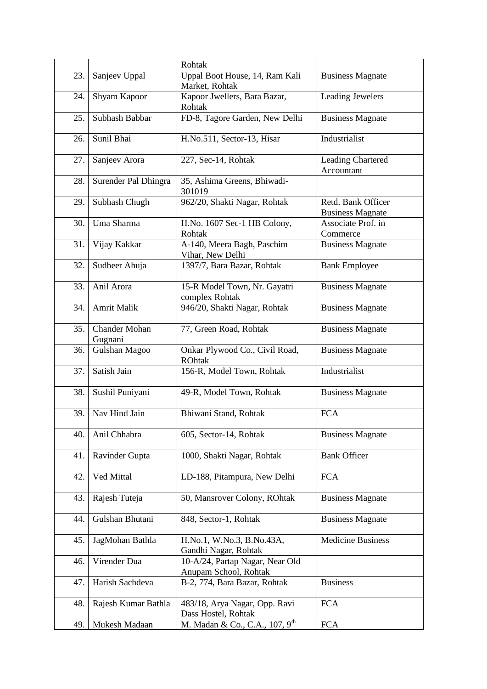|     |                                 | Rohtak                                                   |                                               |
|-----|---------------------------------|----------------------------------------------------------|-----------------------------------------------|
| 23. | Sanjeev Uppal                   | Uppal Boot House, 14, Ram Kali<br>Market, Rohtak         | <b>Business Magnate</b>                       |
| 24. | Shyam Kapoor                    | Kapoor Jwellers, Bara Bazar,<br>Rohtak                   | <b>Leading Jewelers</b>                       |
| 25. | Subhash Babbar                  | FD-8, Tagore Garden, New Delhi                           | <b>Business Magnate</b>                       |
| 26. | Sunil Bhai                      | H.No.511, Sector-13, Hisar                               | Industrialist                                 |
| 27. | Sanjeev Arora                   | 227, Sec-14, Rohtak                                      | <b>Leading Chartered</b><br>Accountant        |
| 28. | Surender Pal Dhingra            | 35, Ashima Greens, Bhiwadi-<br>301019                    |                                               |
| 29. | Subhash Chugh                   | 962/20, Shakti Nagar, Rohtak                             | Retd. Bank Officer<br><b>Business Magnate</b> |
| 30. | Uma Sharma                      | H.No. 1607 Sec-1 HB Colony,<br>Rohtak                    | Associate Prof. in<br>Commerce                |
| 31. | Vijay Kakkar                    | A-140, Meera Bagh, Paschim<br>Vihar, New Delhi           | <b>Business Magnate</b>                       |
| 32. | Sudheer Ahuja                   | 1397/7, Bara Bazar, Rohtak                               | <b>Bank Employee</b>                          |
| 33. | Anil Arora                      | 15-R Model Town, Nr. Gayatri<br>complex Rohtak           | <b>Business Magnate</b>                       |
| 34. | <b>Amrit Malik</b>              | 946/20, Shakti Nagar, Rohtak                             | <b>Business Magnate</b>                       |
| 35. | <b>Chander Mohan</b><br>Gugnani | 77, Green Road, Rohtak                                   | <b>Business Magnate</b>                       |
| 36. | Gulshan Magoo                   | Onkar Plywood Co., Civil Road,<br><b>ROhtak</b>          | <b>Business Magnate</b>                       |
| 37. | Satish Jain                     | 156-R, Model Town, Rohtak                                | Industrialist                                 |
| 38. | Sushil Puniyani                 | 49-R, Model Town, Rohtak                                 | <b>Business Magnate</b>                       |
| 39. | Nav Hind Jain                   | Bhiwani Stand, Rohtak                                    | <b>FCA</b>                                    |
| 40. | Anil Chhabra                    | 605, Sector-14, Rohtak                                   | <b>Business Magnate</b>                       |
| 41. | Ravinder Gupta                  | 1000, Shakti Nagar, Rohtak                               | <b>Bank Officer</b>                           |
| 42. | Ved Mittal                      | LD-188, Pitampura, New Delhi                             | <b>FCA</b>                                    |
| 43. | Rajesh Tuteja                   | 50, Mansrover Colony, ROhtak                             | <b>Business Magnate</b>                       |
| 44. | Gulshan Bhutani                 | 848, Sector-1, Rohtak                                    | <b>Business Magnate</b>                       |
| 45. | JagMohan Bathla                 | H.No.1, W.No.3, B.No.43A,<br>Gandhi Nagar, Rohtak        | <b>Medicine Business</b>                      |
| 46. | Virender Dua                    | 10-A/24, Partap Nagar, Near Old<br>Anupam School, Rohtak |                                               |
| 47. | Harish Sachdeva                 | B-2, 774, Bara Bazar, Rohtak                             | <b>Business</b>                               |
| 48. | Rajesh Kumar Bathla             | 483/18, Arya Nagar, Opp. Ravi<br>Dass Hostel, Rohtak     | <b>FCA</b>                                    |
| 49. | Mukesh Madaan                   | M. Madan & Co., C.A., 107, 9 <sup>th</sup>               | <b>FCA</b>                                    |